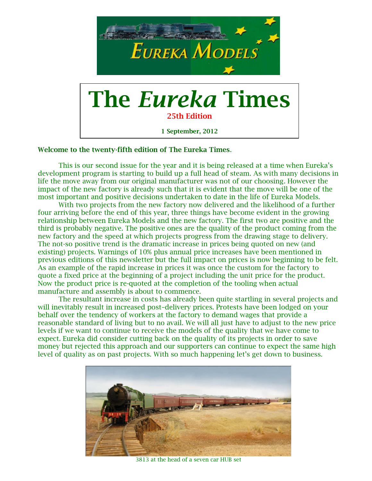

### **Welcome to the twenty-fifth edition of The Eureka Times**.

This is our second issue for the year and it is being released at a time when Eureka's development program is starting to build up a full head of steam. As with many decisions in life the move away from our original manufacturer was not of our choosing. However the impact of the new factory is already such that it is evident that the move will be one of the most important and positive decisions undertaken to date in the life of Eureka Models.

With two projects from the new factory now delivered and the likelihood of a further four arriving before the end of this year, three things have become evident in the growing relationship between Eureka Models and the new factory. The first two are positive and the third is probably negative. The positive ones are the quality of the product coming from the new factory and the speed at which projects progress from the drawing stage to delivery. The not-so positive trend is the dramatic increase in prices being quoted on new (and existing) projects. Warnings of 10% plus annual price increases have been mentioned in previous editions of this newsletter but the full impact on prices is now beginning to be felt. As an example of the rapid increase in prices it was once the custom for the factory to quote a fixed price at the beginning of a project including the unit price for the product. Now the product price is re-quoted at the completion of the tooling when actual manufacture and assembly is about to commence.

The resultant increase in costs has already been quite startling in several projects and will inevitably result in increased post–delivery prices. Protests have been lodged on your behalf over the tendency of workers at the factory to demand wages that provide a reasonable standard of living but to no avail. We will all just have to adjust to the new price levels if we want to continue to receive the models of the quality that we have come to expect. Eureka did consider cutting back on the quality of its projects in order to save money but rejected this approach and our supporters can continue to expect the same high level of quality as on past projects. With so much happening let's get down to business.



3813 at the head of a seven car HUB set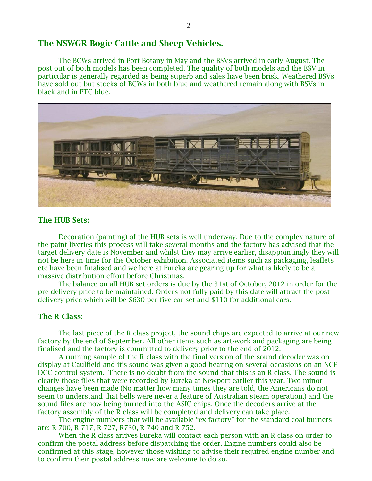# **The NSWGR Bogie Cattle and Sheep Vehicles.**

The BCWs arrived in Port Botany in May and the BSVs arrived in early August. The post out of both models has been completed. The quality of both models and the BSV in particular is generally regarded as being superb and sales have been brisk. Weathered BSVs have sold out but stocks of BCWs in both blue and weathered remain along with BSVs in black and in PTC blue.



### **The HUB Sets:**

Decoration (painting) of the HUB sets is well underway. Due to the complex nature of the paint liveries this process will take several months and the factory has advised that the target delivery date is November and whilst they may arrive earlier, disappointingly they will not be here in time for the October exhibition. Associated items such as packaging, leaflets etc have been finalised and we here at Eureka are gearing up for what is likely to be a massive distribution effort before Christmas.

The balance on all HUB set orders is due by the 31st of October, 2012 in order for the pre-delivery price to be maintained. Orders not fully paid by this date will attract the post delivery price which will be \$630 per five car set and \$110 for additional cars.

#### **The R Class:**

The last piece of the R class project, the sound chips are expected to arrive at our new factory by the end of September. All other items such as art-work and packaging are being finalised and the factory is committed to delivery prior to the end of 2012.

A running sample of the R class with the final version of the sound decoder was on display at Caulfield and it's sound was given a good hearing on several occasions on an NCE DCC control system. There is no doubt from the sound that this is an R class. The sound is clearly those files that were recorded by Eureka at Newport earlier this year. Two minor changes have been made (No matter how many times they are told, the Americans do not seem to understand that bells were never a feature of Australian steam operation.) and the sound files are now being burned into the ASIC chips. Once the decoders arrive at the factory assembly of the R class will be completed and delivery can take place.

The engine numbers that will be available "ex-factory" for the standard coal burners are: R 700, R 717, R 727, R730, R 740 and R 752.

When the R class arrives Eureka will contact each person with an R class on order to confirm the postal address before dispatching the order. Engine numbers could also be confirmed at this stage, however those wishing to advise their required engine number and to confirm their postal address now are welcome to do so.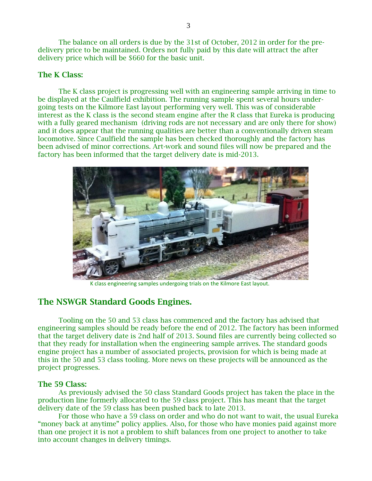The balance on all orders is due by the 31st of October, 2012 in order for the predelivery price to be maintained. Orders not fully paid by this date will attract the after delivery price which will be \$660 for the basic unit.

## **The K Class:**

The K class project is progressing well with an engineering sample arriving in time to be displayed at the Caulfield exhibition. The running sample spent several hours undergoing tests on the Kilmore East layout performing very well. This was of considerable interest as the K class is the second steam engine after the R class that Eureka is producing with a fully geared mechanism (driving rods are not necessary and are only there for show) and it does appear that the running qualities are better than a conventionally driven steam locomotive. Since Caulfield the sample has been checked thoroughly and the factory has been advised of minor corrections. Art-work and sound files will now be prepared and the factory has been informed that the target delivery date is mid-2013.



K class engineering samples undergoing trials on the Kilmore East layout.

## **The NSWGR Standard Goods Engines.**

Tooling on the 50 and 53 class has commenced and the factory has advised that engineering samples should be ready before the end of 2012. The factory has been informed that the target delivery date is 2nd half of 2013. Sound files are currently being collected so that they ready for installation when the engineering sample arrives. The standard goods engine project has a number of associated projects, provision for which is being made at this in the 50 and 53 class tooling. More news on these projects will be announced as the project progresses.

#### **The 59 Class:**

As previously advised the 50 class Standard Goods project has taken the place in the production line formerly allocated to the 59 class project. This has meant that the target delivery date of the 59 class has been pushed back to late 2013.

For those who have a 59 class on order and who do not want to wait, the usual Eureka "money back at anytime" policy applies. Also, for those who have monies paid against more than one project it is not a problem to shift balances from one project to another to take into account changes in delivery timings.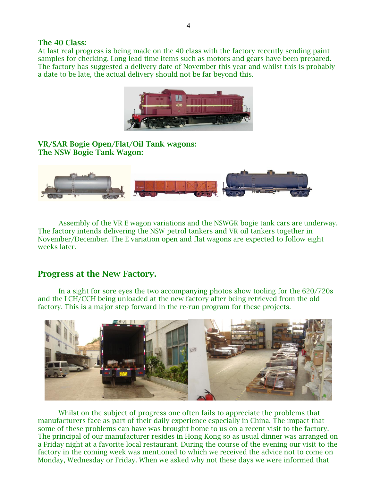#### **The 40 Class:**

At last real progress is being made on the 40 class with the factory recently sending paint samples for checking. Long lead time items such as motors and gears have been prepared. The factory has suggested a delivery date of November this year and whilst this is probably a date to be late, the actual delivery should not be far beyond this.



**VR/SAR Bogie Open/Flat/Oil Tank wagons: The NSW Bogie Tank Wagon:**



Assembly of the VR E wagon variations and the NSWGR bogie tank cars are underway. The factory intends delivering the NSW petrol tankers and VR oil tankers together in November/December. The E variation open and flat wagons are expected to follow eight weeks later.

# **Progress at the New Factory.**

In a sight for sore eyes the two accompanying photos show tooling for the 620/720s and the LCH/CCH being unloaded at the new factory after being retrieved from the old factory. This is a major step forward in the re-run program for these projects.



Whilst on the subject of progress one often fails to appreciate the problems that manufacturers face as part of their daily experience especially in China. The impact that some of these problems can have was brought home to us on a recent visit to the factory. The principal of our manufacturer resides in Hong Kong so as usual dinner was arranged on a Friday night at a favorite local restaurant. During the course of the evening our visit to the factory in the coming week was mentioned to which we received the advice not to come on Monday, Wednesday or Friday. When we asked why not these days we were informed that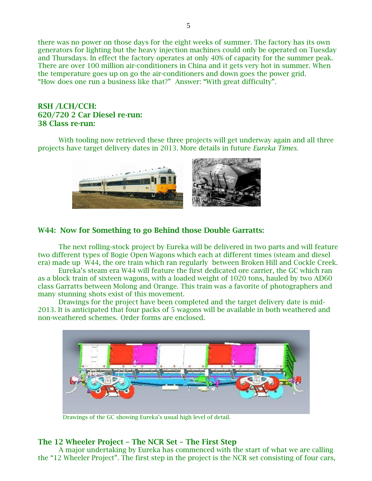there was no power on those days for the eight weeks of summer. The factory has its own generators for lighting but the heavy injection machines could only be operated on Tuesday and Thursdays. In effect the factory operates at only 40% of capacity for the summer peak. There are over 100 million air-conditioners in China and it gets very hot in summer. When the temperature goes up on go the air-conditioners and down goes the power grid. "How does one run a business like that?" Answer: "With great difficulty".

## **RSH /LCH/CCH: 620/720 2 Car Diesel re-run: 38 Class re-run:**

With tooling now retrieved these three projects will get underway again and all three projects have target delivery dates in 2013. More details in future *Eureka Times*.



## **W44: Now for Something to go Behind those Double Garratts:**

The next rolling-stock project by Eureka will be delivered in two parts and will feature two different types of Bogie Open Wagons which each at different times (steam and diesel era) made up W44, the ore train which ran regularly between Broken Hill and Cockle Creek.

Eureka's steam era W44 will feature the first dedicated ore carrier, the GC which ran as a block train of sixteen wagons, with a loaded weight of 1020 tons, hauled by two AD60 class Garratts between Molong and Orange. This train was a favorite of photographers and many stunning shots exist of this movement.

Drawings for the project have been completed and the target delivery date is mid-2013. It is anticipated that four packs of 5 wagons will be available in both weathered and non-weathered schemes. Order forms are enclosed.



Drawings of the GC showing Eureka's usual high level of detail.

# **The 12 Wheeler Project – The NCR Set – The First Step**

A major undertaking by Eureka has commenced with the start of what we are calling the "12 Wheeler Project". The first step in the project is the NCR set consisting of four cars,